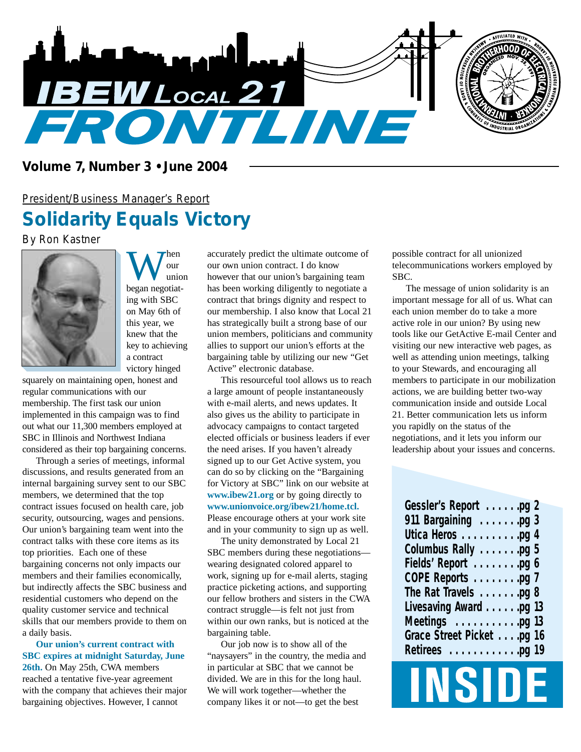

#### *Volume 7, Number 3 • June 2004*

# *President/Business Manager's Report Solidarity Equals Victory*

*By Ron Kastner*



We during the most dependence of the set of the set of the set of the set of the set of the set of the set of the set of the set of the set of the set of the set of the set of the set of the set of the set of the set of th our union ing with SBC on May 6th of this year, we knew that the key to achieving a contract victory hinged

squarely on maintaining open, honest and regular communications with our membership. The first task our union implemented in this campaign was to find out what our 11,300 members employed at SBC in Illinois and Northwest Indiana considered as their top bargaining concerns.

Through a series of meetings, informal discussions, and results generated from an internal bargaining survey sent to our SBC members, we determined that the top contract issues focused on health care, job security, outsourcing, wages and pensions. Our union's bargaining team went into the contract talks with these core items as its top priorities. Each one of these bargaining concerns not only impacts our members and their families economically, but indirectly affects the SBC business and residential customers who depend on the quality customer service and technical skills that our members provide to them on a daily basis.

**Our union's current contract with SBC expires at midnight Saturday, June 26th.** On May 25th, CWA members reached a tentative five-year agreement with the company that achieves their major bargaining objectives. However, I cannot

accurately predict the ultimate outcome of our own union contract. I do know however that our union's bargaining team has been working diligently to negotiate a contract that brings dignity and respect to our membership. I also know that Local 21 has strategically built a strong base of our union members, politicians and community allies to support our union's efforts at the bargaining table by utilizing our new "Get Active" electronic database.

This resourceful tool allows us to reach a large amount of people instantaneously with e-mail alerts, and news updates. It also gives us the ability to participate in advocacy campaigns to contact targeted elected officials or business leaders if ever the need arises. If you haven't already signed up to our Get Active system, you can do so by clicking on the "Bargaining for Victory at SBC" link on our website at **www.ibew21.org** or by going directly to **www.unionvoice.org/ibew21/home.tcl.** Please encourage others at your work site and in your community to sign up as well.

The unity demonstrated by Local 21 SBC members during these negotiations wearing designated colored apparel to work, signing up for e-mail alerts, staging practice picketing actions, and supporting our fellow brothers and sisters in the CWA contract struggle—is felt not just from within our own ranks, but is noticed at the bargaining table.

Our job now is to show all of the "naysayers" in the country, the media and in particular at SBC that we cannot be divided. We are in this for the long haul. We will work together—whether the company likes it or not—to get the best

possible contract for all unionized telecommunications workers employed by SBC.

The message of union solidarity is an important message for all of us. What can each union member do to take a more active role in our union? By using new tools like our GetActive E-mail Center and visiting our new interactive web pages, as well as attending union meetings, talking to your Stewards, and encouraging all members to participate in our mobilization actions, we are building better two-way communication inside and outside Local 21. Better communication lets us inform you rapidly on the status of the negotiations, and it lets you inform our leadership about your issues and concerns.

| Gessler's Report pg 2                  |
|----------------------------------------|
| 911 Bargaining pg 3                    |
| Utica Heros pg 4                       |
| Columbus Rally pg 5                    |
| Fields' Report pg 6                    |
| COPE Reports pg 7                      |
| The Rat Travels pg 8                   |
| Livesaving Award pg 13                 |
| Meetings $\ldots \ldots \ldots$ .pg 13 |
| Grace Street Picket pg 16              |
| Retirees pg 19                         |

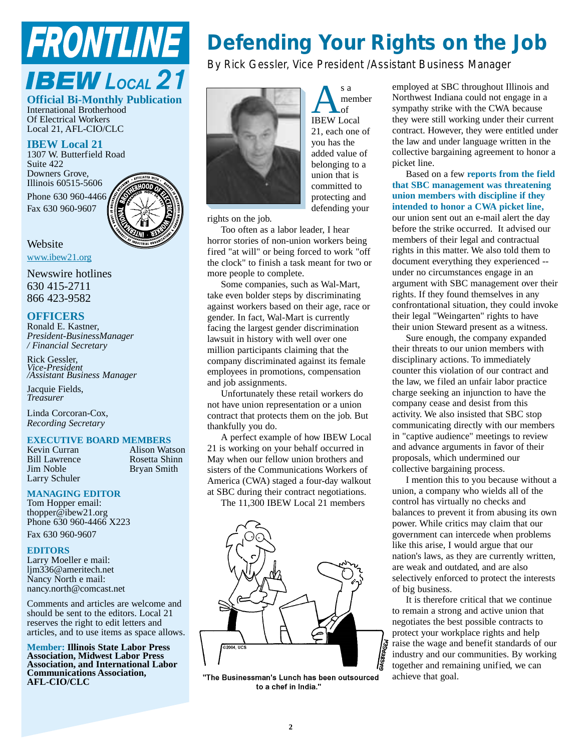# **FRONTLINE**

### **IBEW LOCAL 21 Official Bi-Monthly Publication**

International Brotherhood Of Electrical Workers Local 21, AFL-CIO/CLC

#### **IBEW Local 21**

1307 W. Butterfield Road Suite 422 Downers Grove, Illinois 60515-5606 Phone 630 960-4466 Fax 630 960-9607



**Website** www.ibew21.org

Newswire hotlines 630 415-2711 866 423-9582

#### **OFFICERS**

Ronald E. Kastner, *President-BusinessManager / Financial Secretary*

Rick Gessler, *Vice-President /Assistant Business Manager*

Jacquie Fields, *Treasurer*

Linda Corcoran-Cox, *Recording Secretary*

### **EXECUTIVE BOARD MEMBERS**<br>**Kevin Curran Alison Wat**

Bryan Smith

Kevin Curran Alison Watson<br>
Bill Lawrence Rosetta Shinn Bill Lawrence Rosetta Shinn<br>
Sim Noble<br>
Rosetta Shinn<br>
Rosetta Shinn Larry Schuler

#### **MANAGING EDITOR**

Tom Hopper email: thopper@ibew21.org Phone 630 960-4466 X223 Fax 630 960-9607

#### **EDITORS**

Larry Moeller e mail: ljm336@ameritech.net Nancy North e mail: nancy.north@comcast.net

Comments and articles are welcome and should be sent to the editors. Local 21 reserves the right to edit letters and articles, and to use items as space allows.

**Member: Illinois State Labor Press Association, Midwest Labor Press Association, and International Labor Communications Association, AFL-CIO/CLC**

# *Defending Your Rights on the Job*

*By Rick Gessler, Vice President /Assistant Business Manager*



A s a<br>
IBEW Local member of 21, each one of you has the added value of belonging to a union that is committed to protecting and defending your

rights on the job.

Too often as a labor leader, I hear horror stories of non-union workers being fired "at will" or being forced to work "off the clock" to finish a task meant for two or more people to complete.

Some companies, such as Wal-Mart, take even bolder steps by discriminating against workers based on their age, race or gender. In fact, Wal-Mart is currently facing the largest gender discrimination lawsuit in history with well over one million participants claiming that the company discriminated against its female employees in promotions, compensation and job assignments.

Unfortunately these retail workers do not have union representation or a union contract that protects them on the job. But thankfully you do.

A perfect example of how IBEW Local 21 is working on your behalf occurred in May when our fellow union brothers and sisters of the Communications Workers of America (CWA) staged a four-day walkout at SBC during their contract negotiations.

The 11,300 IBEW Local 21 members



"The Businessman's Lunch has been outsourced to a chef in India."

employed at SBC throughout Illinois and Northwest Indiana could not engage in a sympathy strike with the CWA because they were still working under their current contract. However, they were entitled under the law and under language written in the collective bargaining agreement to honor a picket line.

Based on a few **reports from the field that SBC management was threatening union members with discipline if they intended to honor a CWA picket line,** our union sent out an e-mail alert the day

before the strike occurred. It advised our members of their legal and contractual rights in this matter. We also told them to document everything they experienced - under no circumstances engage in an argument with SBC management over their rights. If they found themselves in any confrontational situation, they could invoke their legal "Weingarten" rights to have their union Steward present as a witness.

Sure enough, the company expanded their threats to our union members with disciplinary actions. To immediately counter this violation of our contract and the law, we filed an unfair labor practice charge seeking an injunction to have the company cease and desist from this activity. We also insisted that SBC stop communicating directly with our members in "captive audience" meetings to review and advance arguments in favor of their proposals, which undermined our collective bargaining process.

I mention this to you because without a union, a company who wields all of the control has virtually no checks and balances to prevent it from abusing its own power. While critics may claim that our government can intercede when problems like this arise, I would argue that our nation's laws, as they are currently written, are weak and outdated, and are also selectively enforced to protect the interests of big business.

It is therefore critical that we continue to remain a strong and active union that negotiates the best possible contracts to protect your workplace rights and help raise the wage and benefit standards of our industry and our communities. By working together and remaining unified, we can achieve that goal.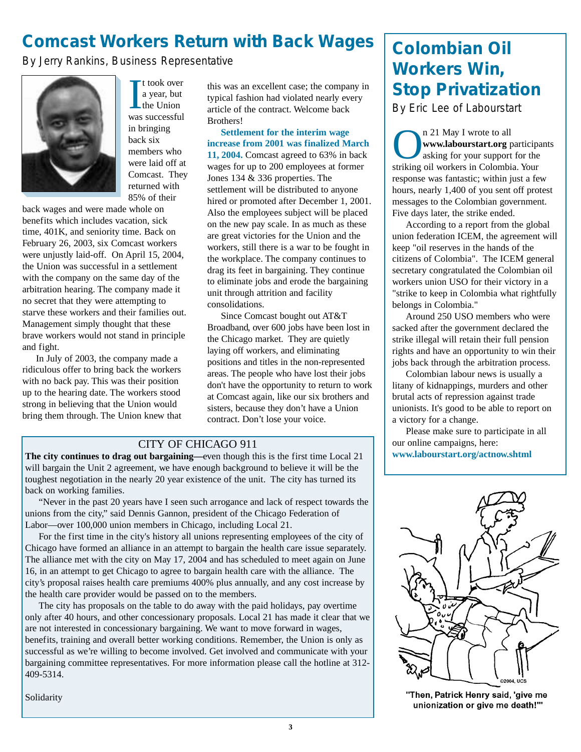# *Comcast Workers Return with Back Wages*

*By Jerry Rankins, Business Representative*



I took over<br>a year, but<br>the Union<br>was successful t took over a year, but the Union in bringing back six members who were laid off at Comcast. They returned with 85% of their

back wages and were made whole on benefits which includes vacation, sick time, 401K, and seniority time. Back on February 26, 2003, six Comcast workers were unjustly laid-off. On April 15, 2004, the Union was successful in a settlement with the company on the same day of the arbitration hearing. The company made it no secret that they were attempting to starve these workers and their families out. Management simply thought that these brave workers would not stand in principle and fight.

In July of 2003, the company made a ridiculous offer to bring back the workers with no back pay. This was their position up to the hearing date. The workers stood strong in believing that the Union would bring them through. The Union knew that this was an excellent case; the company in typical fashion had violated nearly every article of the contract. Welcome back Brothers!

**Settlement for the interim wage increase from 2001 was finalized March 11, 2004.** Comcast agreed to 63% in back wages for up to 200 employees at former Jones 134 & 336 properties. The settlement will be distributed to anyone hired or promoted after December 1, 2001. Also the employees subject will be placed on the new pay scale. In as much as these are great victories for the Union and the workers, still there is a war to be fought in the workplace. The company continues to drag its feet in bargaining. They continue to eliminate jobs and erode the bargaining unit through attrition and facility consolidations.

Since Comcast bought out AT&T Broadband, over 600 jobs have been lost in the Chicago market. They are quietly laying off workers, and eliminating positions and titles in the non-represented areas. The people who have lost their jobs don't have the opportunity to return to work at Comcast again, like our six brothers and sisters, because they don't have a Union contract. Don't lose your voice.

#### CITY OF CHICAGO 911

**The city continues to drag out bargaining—**even though this is the first time Local 21 will bargain the Unit 2 agreement, we have enough background to believe it will be the toughest negotiation in the nearly 20 year existence of the unit. The city has turned its back on working families.

"Never in the past 20 years have I seen such arrogance and lack of respect towards the unions from the city," said Dennis Gannon, president of the Chicago Federation of Labor—over 100,000 union members in Chicago, including Local 21.

For the first time in the city's history all unions representing employees of the city of Chicago have formed an alliance in an attempt to bargain the health care issue separately. The alliance met with the city on May 17, 2004 and has scheduled to meet again on June 16, in an attempt to get Chicago to agree to bargain health care with the alliance. The city's proposal raises health care premiums 400% plus annually, and any cost increase by the health care provider would be passed on to the members.

The city has proposals on the table to do away with the paid holidays, pay overtime only after 40 hours, and other concessionary proposals. Local 21 has made it clear that we are not interested in concessionary bargaining. We want to move forward in wages, benefits, training and overall better working conditions. Remember, the Union is only as successful as we're willing to become involved. Get involved and communicate with your bargaining committee representatives. For more information please call the hotline at 312- 409-5314.

Solidarity

# *Colombian Oil Workers Win, Stop Privatization*

*By Eric Lee of Labourstart*

**On 21 May I wrote to all**<br> **www.labourstart.org** particip<br>
asking for your support for the<br>
striking oil workers in Colombia. Your **www.labourstart.org** participants asking for your support for the response was fantastic; within just a few hours, nearly 1,400 of you sent off protest messages to the Colombian government. Five days later, the strike ended.

According to a report from the global union federation ICEM, the agreement will keep "oil reserves in the hands of the citizens of Colombia". The ICEM general secretary congratulated the Colombian oil workers union USO for their victory in a "strike to keep in Colombia what rightfully belongs in Colombia."

Around 250 USO members who were sacked after the government declared the strike illegal will retain their full pension rights and have an opportunity to win their jobs back through the arbitration process.

Colombian labour news is usually a litany of kidnappings, murders and other brutal acts of repression against trade unionists. It's good to be able to report on a victory for a change.

Please make sure to participate in all our online campaigns, here: **www.labourstart.org/actnow.shtml**



"Then, Patrick Henry said, 'give me unionization or give me death!""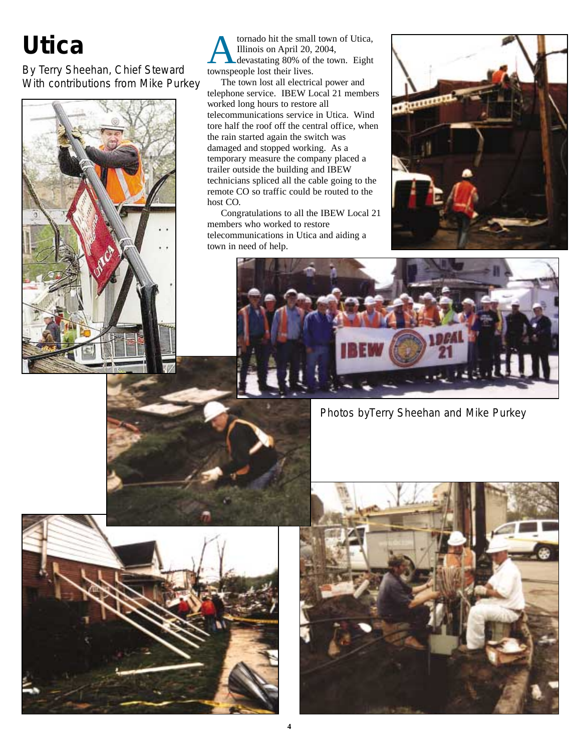# *Utica*

*By Terry Sheehan, Chief Steward With contributions from Mike Purkey*



Atornado hit the small town of Utica,<br>
Illinois on April 20, 2004,<br>
devastating 80% of the town. Eight<br>
townspeople lost their lives Illinois on April 20, 2004, townspeople lost their lives.

The town lost all electrical power and telephone service. IBEW Local 21 members worked long hours to restore all telecommunications service in Utica. Wind tore half the roof off the central office, when the rain started again the switch was damaged and stopped working. As a temporary measure the company placed a trailer outside the building and IBEW technicians spliced all the cable going to the remote CO so traffic could be routed to the host CO.

Congratulations to all the IBEW Local 21 members who worked to restore telecommunications in Utica and aiding a town in need of help.





*Photos byTerry Sheehan and Mike Purkey*



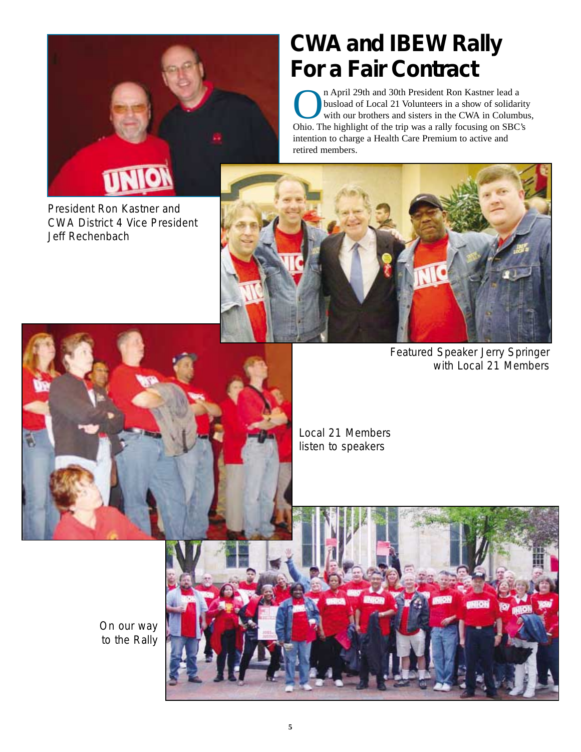

#### *President Ron Kastner and CWA District 4 Vice President Jeff Rechenbach*

# *CWA and IBEW Rally For a Fair Contract*

n April 29th and 30th President Ron Kastner lead a<br>busload of Local 21 Volunteers in a show of solidar<br>with our brothers and sisters in the CWA in Colum<br>Obio The highlight of the trin was a rally focusing on SBC busload of Local 21 Volunteers in a show of solidarity with our brothers and sisters in the CWA in Columbus, Ohio. The highlight of the trip was a rally focusing on SBC's intention to charge a Health Care Premium to active and retired members.



*Featured Speaker Jerry Springer with Local 21 Members*



*Local 21 Members listen to speakers*

*On our way to the Rally*

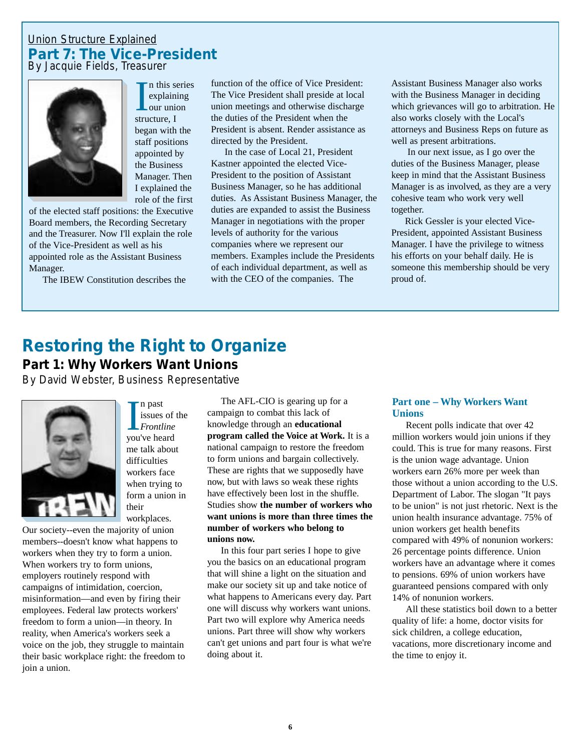#### *Union Structure Explained Part 7: The Vice-President By Jacquie Fields, Treasurer*

In this s<br>
explain<br>
our uni<br>
structure, I

began with the staff positions appointed by the Business Manager. Then I explained the

n this series explaining our union



role of the first of the elected staff positions: the Executive Board members, the Recording Secretary and the Treasurer. Now I'll explain the role of the Vice-President as well as his appointed role as the Assistant Business Manager.

The IBEW Constitution describes the

function of the office of Vice President: The Vice President shall preside at local union meetings and otherwise discharge the duties of the President when the President is absent. Render assistance as directed by the President.

In the case of Local 21, President Kastner appointed the elected Vice-President to the position of Assistant Business Manager, so he has additional duties. As Assistant Business Manager, the duties are expanded to assist the Business Manager in negotiations with the proper levels of authority for the various companies where we represent our members. Examples include the Presidents of each individual department, as well as with the CEO of the companies. The

Assistant Business Manager also works with the Business Manager in deciding which grievances will go to arbitration. He also works closely with the Local's attorneys and Business Reps on future as well as present arbitrations.

In our next issue, as I go over the duties of the Business Manager, please keep in mind that the Assistant Business Manager is as involved, as they are a very cohesive team who work very well together.

Rick Gessler is your elected Vice-President, appointed Assistant Business Manager. I have the privilege to witness his efforts on your behalf daily. He is someone this membership should be very proud of.

# *Restoring the Right to Organize*

**Part 1: Why Workers Want Unions**

*By David Webster, Business Representative*



I ne past<br>International Section<br>International Section Products<br>International Section Products<br>International Section Products<br>International Section Products<br>International Section Products<br>International Section Products<br>Inte n past issues of the *Frontline* me talk about difficulties workers face when trying to form a union in their workplaces.

Our society--even the majority of union members--doesn't know what happens to workers when they try to form a union. When workers try to form unions, employers routinely respond with campaigns of intimidation, coercion, misinformation—and even by firing their employees. Federal law protects workers' freedom to form a union—in theory. In reality, when America's workers seek a voice on the job, they struggle to maintain their basic workplace right: the freedom to join a union.

The AFL-CIO is gearing up for a campaign to combat this lack of knowledge through an **educational program called the Voice at Work.** It is a national campaign to restore the freedom to form unions and bargain collectively. These are rights that we supposedly have now, but with laws so weak these rights have effectively been lost in the shuffle. Studies show **the number of workers who want unions is more than three times the number of workers who belong to unions now.**

In this four part series I hope to give you the basics on an educational program that will shine a light on the situation and make our society sit up and take notice of what happens to Americans every day. Part one will discuss why workers want unions. Part two will explore why America needs unions. Part three will show why workers can't get unions and part four is what we're doing about it.

#### **Part one – Why Workers Want Unions**

Recent polls indicate that over 42 million workers would join unions if they could. This is true for many reasons. First is the union wage advantage. Union workers earn 26% more per week than those without a union according to the U.S. Department of Labor. The slogan "It pays to be union" is not just rhetoric. Next is the union health insurance advantage. 75% of union workers get health benefits compared with 49% of nonunion workers: 26 percentage points difference. Union workers have an advantage where it comes to pensions. 69% of union workers have guaranteed pensions compared with only 14% of nonunion workers.

All these statistics boil down to a better quality of life: a home, doctor visits for sick children, a college education, vacations, more discretionary income and the time to enjoy it.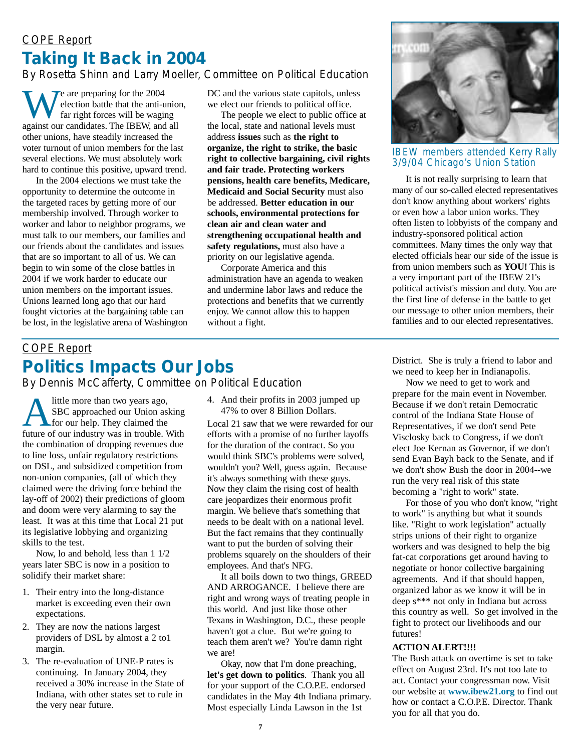### *COPE Report Taking It Back in 2004*

#### *By Rosetta Shinn and Larry Moeller, Committee on Political Education*

 $\tau$  are preparing for the 2004 election battle that the anti-union, far right forces will be waging against our candidates. The IBEW, and all other unions, have steadily increased the voter turnout of union members for the last several elections. We must absolutely work hard to continue this positive, upward trend.

In the 2004 elections we must take the opportunity to determine the outcome in the targeted races by getting more of our membership involved. Through worker to worker and labor to neighbor programs, we must talk to our members, our families and our friends about the candidates and issues that are so important to all of us. We can begin to win some of the close battles in 2004 if we work harder to educate our union members on the important issues. Unions learned long ago that our hard fought victories at the bargaining table can be lost, in the legislative arena of Washington DC and the various state capitols, unless we elect our friends to political office.

The people we elect to public office at the local, state and national levels must address **issues** such as **the right to organize, the right to strike, the basic right to collective bargaining, civil rights and fair trade. Protecting workers pensions, health care benefits, Medicare, Medicaid and Social Security** must also be addressed. **Better education in our schools, environmental protections for clean air and clean water and strengthening occupational health and safety regulations,** must also have a priority on our legislative agenda.

Corporate America and this administration have an agenda to weaken and undermine labor laws and reduce the protections and benefits that we currently enjoy. We cannot allow this to happen without a fight.



#### IBEW members attended Kerry Rally 3/9/04 Chicago's Union Station

It is not really surprising to learn that many of our so-called elected representatives don't know anything about workers' rights or even how a labor union works. They often listen to lobbyists of the company and industry-sponsored political action committees. Many times the only way that elected officials hear our side of the issue is from union members such as **YOU!** This is a very important part of the IBEW 21's political activist's mission and duty. You are the first line of defense in the battle to get our message to other union members, their families and to our elected representatives.

#### *COPE Report Politics Impacts Our Jobs By Dennis McCafferty, Committee on Political Education*

Alittle more than two years ago,<br>SBC approached our Union as<br>for our help. They claimed the<br>future of our industry was in trouble SBC approached our Union asking future of our industry was in trouble. With the combination of dropping revenues due to line loss, unfair regulatory restrictions on DSL, and subsidized competition from non-union companies, (all of which they claimed were the driving force behind the lay-off of 2002) their predictions of gloom and doom were very alarming to say the least. It was at this time that Local 21 put its legislative lobbying and organizing skills to the test.

Now, lo and behold, less than 1 1/2 years later SBC is now in a position to solidify their market share:

- 1. Their entry into the long-distance market is exceeding even their own expectations.
- 2. They are now the nations largest providers of DSL by almost a 2 to1 margin.
- 3. The re-evaluation of UNE-P rates is continuing. In January 2004, they received a 30% increase in the State of Indiana, with other states set to rule in the very near future.

4. And their profits in 2003 jumped up 47% to over 8 Billion Dollars.

Local 21 saw that we were rewarded for our efforts with a promise of no further layoffs for the duration of the contract. So you would think SBC's problems were solved, wouldn't you? Well, guess again. Because it's always something with these guys. Now they claim the rising cost of health care jeopardizes their enormous profit margin. We believe that's something that needs to be dealt with on a national level. But the fact remains that they continually want to put the burden of solving their problems squarely on the shoulders of their employees. And that's NFG.

It all boils down to two things, GREED AND ARROGANCE. I believe there are right and wrong ways of treating people in this world. And just like those other Texans in Washington, D.C., these people haven't got a clue. But we're going to teach them aren't we? You're damn right we are!

Okay, now that I'm done preaching, **let's get down to politics**. Thank you all for your support of the C.O.P.E. endorsed candidates in the May 4th Indiana primary. Most especially Linda Lawson in the 1st

District. She is truly a friend to labor and we need to keep her in Indianapolis.

Now we need to get to work and prepare for the main event in November. Because if we don't retain Democratic control of the Indiana State House of Representatives, if we don't send Pete Visclosky back to Congress, if we don't elect Joe Kernan as Governor, if we don't send Evan Bayh back to the Senate, and if we don't show Bush the door in 2004--we run the very real risk of this state becoming a "right to work" state.

For those of you who don't know, "right to work" is anything but what it sounds like. "Right to work legislation" actually strips unions of their right to organize workers and was designed to help the big fat-cat corporations get around having to negotiate or honor collective bargaining agreements. And if that should happen, organized labor as we know it will be in deep s\*\*\* not only in Indiana but across this country as well. So get involved in the fight to protect our livelihoods and our futures!

#### **ACTION ALERT!!!!**

The Bush attack on overtime is set to take effect on August 23rd. It's not too late to act. Contact your congressman now. Visit our website at **www.ibew21.org** to find out how or contact a C.O.P.E. Director. Thank you for all that you do.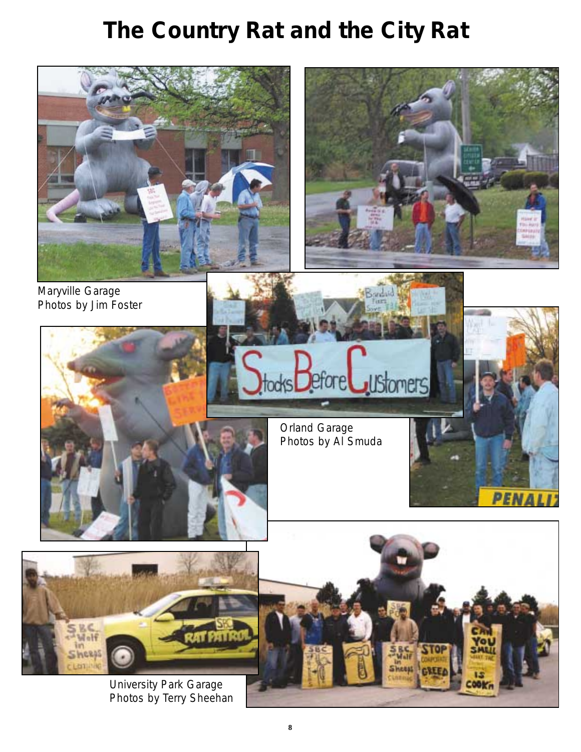# *The Country Rat and the City Rat*



*University Park Garage Photos by Terry Sheehan*

EOOK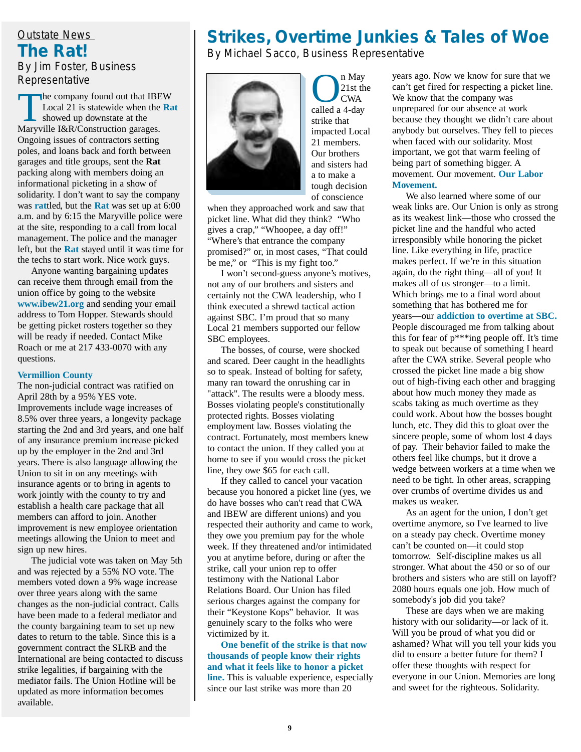#### *Outstate News The Rat! By Jim Foster, Business Representative*

The company found out that IBEW Local 21 is statewide when the **Rat** showed up downstate at the Maryville I&R/Construction garages. Ongoing issues of contractors setting poles, and loans back and forth between garages and title groups, sent the **Rat** packing along with members doing an informational picketing in a show of solidarity. I don't want to say the company was **rat**tled, but the **Rat** was set up at 6:00 a.m. and by 6:15 the Maryville police were at the site, responding to a call from local management. The police and the manager left, but the **Rat** stayed until it was time for the techs to start work. Nice work guys.

Anyone wanting bargaining updates can receive them through email from the union office by going to the website **www.ibew21.org** and sending your email address to Tom Hopper. Stewards should be getting picket rosters together so they will be ready if needed. Contact Mike Roach or me at 217 433-0070 with any questions.

#### **Vermillion County**

The non-judicial contract was ratified on April 28th by a 95% YES vote. Improvements include wage increases of 8.5% over three years, a longevity package starting the 2nd and 3rd years, and one half of any insurance premium increase picked up by the employer in the 2nd and 3rd years. There is also language allowing the Union to sit in on any meetings with insurance agents or to bring in agents to work jointly with the county to try and establish a health care package that all members can afford to join. Another improvement is new employee orientation meetings allowing the Union to meet and sign up new hires.

The judicial vote was taken on May 5th and was rejected by a 55% NO vote. The members voted down a 9% wage increase over three years along with the same changes as the non-judicial contract. Calls have been made to a federal mediator and the county bargaining team to set up new dates to return to the table. Since this is a government contract the SLRB and the International are being contacted to discuss strike legalities, if bargaining with the mediator fails. The Union Hotline will be updated as more information becomes available.

#### *Strikes, Overtime Junkies & Tales of Woe By Michael Sacco, Business Representative*



**O**<br>
21st the CWA<br>
called a 4-day 21st the CWA strike that impacted Local 21 members. Our brothers and sisters had a to make a tough decision of conscience

when they approached work and saw that picket line. What did they think? "Who gives a crap," "Whoopee, a day off!" "Where's that entrance the company promised?" or, in most cases, "That could be me," or "This is my fight too."

I won't second-guess anyone's motives, not any of our brothers and sisters and certainly not the CWA leadership, who I think executed a shrewd tactical action against SBC. I'm proud that so many Local 21 members supported our fellow SBC employees.

The bosses, of course, were shocked and scared. Deer caught in the headlights so to speak. Instead of bolting for safety, many ran toward the onrushing car in "attack". The results were a bloody mess. Bosses violating people's constitutionally protected rights. Bosses violating employment law. Bosses violating the contract. Fortunately, most members knew to contact the union. If they called you at home to see if you would cross the picket line, they owe \$65 for each call.

If they called to cancel your vacation because you honored a picket line (yes, we do have bosses who can't read that CWA and IBEW are different unions) and you respected their authority and came to work, they owe you premium pay for the whole week. If they threatened and/or intimidated you at anytime before, during or after the strike, call your union rep to offer testimony with the National Labor Relations Board. Our Union has filed serious charges against the company for their "Keystone Kops" behavior. It was genuinely scary to the folks who were victimized by it.

**One benefit of the strike is that now thousands of people know their rights and what it feels like to honor a picket line.** This is valuable experience, especially since our last strike was more than 20

years ago. Now we know for sure that we can't get fired for respecting a picket line. We know that the company was unprepared for our absence at work because they thought we didn't care about anybody but ourselves. They fell to pieces when faced with our solidarity. Most important, we got that warm feeling of being part of something bigger. A movement. Our movement. **Our Labor Movement.**

We also learned where some of our weak links are. Our Union is only as strong as its weakest link—those who crossed the picket line and the handful who acted irresponsibly while honoring the picket line. Like everything in life, practice makes perfect. If we're in this situation again, do the right thing—all of you! It makes all of us stronger—to a limit. Which brings me to a final word about something that has bothered me for years—our **addiction to overtime at SBC.** People discouraged me from talking about this for fear of p\*\*\*ing people off. It's time to speak out because of something I heard after the CWA strike. Several people who crossed the picket line made a big show out of high-fiving each other and bragging about how much money they made as scabs taking as much overtime as they could work. About how the bosses bought lunch, etc. They did this to gloat over the sincere people, some of whom lost 4 days of pay. Their behavior failed to make the others feel like chumps, but it drove a wedge between workers at a time when we need to be tight. In other areas, scrapping over crumbs of overtime divides us and makes us weaker.

As an agent for the union, I don't get overtime anymore, so I've learned to live on a steady pay check. Overtime money can't be counted on—it could stop tomorrow. Self-discipline makes us all stronger. What about the 450 or so of our brothers and sisters who are still on layoff? 2080 hours equals one job. How much of somebody's job did you take?

These are days when we are making history with our solidarity—or lack of it. Will you be proud of what you did or ashamed? What will you tell your kids you did to ensure a better future for them? I offer these thoughts with respect for everyone in our Union. Memories are long and sweet for the righteous. Solidarity.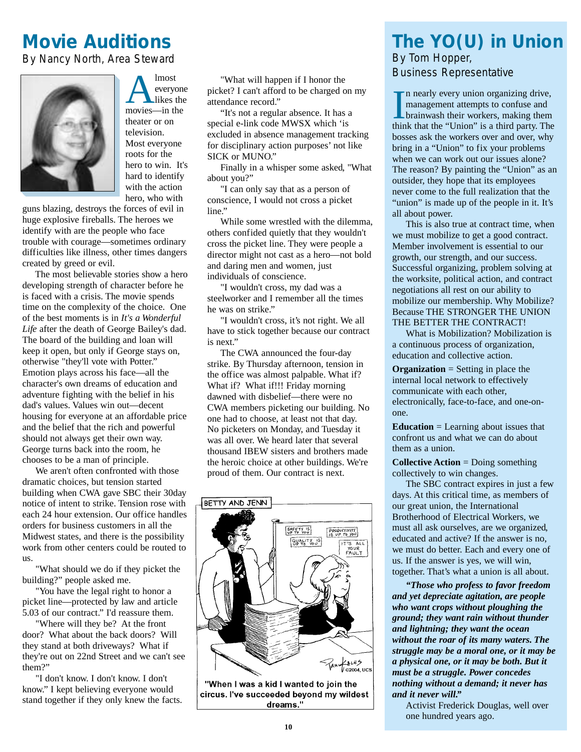# *Movie Auditions*

*By Nancy North, Area Steward*



Almost<br>
everyon<br>
likes the<br>
movies—in the everyone likes the theater or on television. Most everyone roots for the hero to win. It's hard to identify with the action hero, who with

guns blazing, destroys the forces of evil in huge explosive fireballs. The heroes we identify with are the people who face trouble with courage—sometimes ordinary difficulties like illness, other times dangers created by greed or evil.

The most believable stories show a hero developing strength of character before he is faced with a crisis. The movie spends time on the complexity of the choice. One of the best moments is in *It's a Wonderful Life* after the death of George Bailey's dad. The board of the building and loan will keep it open, but only if George stays on, otherwise "they'll vote with Potter." Emotion plays across his face—all the character's own dreams of education and adventure fighting with the belief in his dad's values. Values win out—decent housing for everyone at an affordable price and the belief that the rich and powerful should not always get their own way. George turns back into the room, he chooses to be a man of principle.

We aren't often confronted with those dramatic choices, but tension started building when CWA gave SBC their 30day notice of intent to strike. Tension rose with each 24 hour extension. Our office handles orders for business customers in all the Midwest states, and there is the possibility work from other centers could be routed to us.

"What should we do if they picket the building?" people asked me.

"You have the legal right to honor a picket line—protected by law and article 5.03 of our contract." I'd reassure them.

"Where will they be? At the front door? What about the back doors? Will they stand at both driveways? What if they're out on 22nd Street and we can't see them?"

"I don't know. I don't know. I don't know." I kept believing everyone would stand together if they only knew the facts.

"What will happen if I honor the picket? I can't afford to be charged on my attendance record."

"It's not a regular absence. It has a special e-link code MWSX which 'is excluded in absence management tracking for disciplinary action purposes' not like SICK or MUNO."

Finally in a whisper some asked, "What about you?"

"I can only say that as a person of conscience, I would not cross a picket line."

While some wrestled with the dilemma, others confided quietly that they wouldn't cross the picket line. They were people a director might not cast as a hero—not bold and daring men and women, just individuals of conscience.

"I wouldn't cross, my dad was a steelworker and I remember all the times he was on strike."

"I wouldn't cross, it's not right. We all have to stick together because our contract is next."

The CWA announced the four-day strike. By Thursday afternoon, tension in the office was almost palpable. What if? What if? What if!!! Friday morning dawned with disbelief—there were no CWA members picketing our building. No one had to choose, at least not that day. No picketers on Monday, and Tuesday it was all over. We heard later that several thousand IBEW sisters and brothers made the heroic choice at other buildings. We're proud of them. Our contract is next.



"When I was a kid I wanted to join the circus. I've succeeded beyond my wildest dreams."

#### *The YO(U) in Union By Tom Hopper, Business Representative*

In nearly every union organizing drive,<br>management attempts to confuse and<br>brainwash their workers, making them<br>think that the "Union" is a third party. The n nearly every union organizing drive, management attempts to confuse and brainwash their workers, making them bosses ask the workers over and over, why bring in a "Union" to fix your problems when we can work out our issues alone? The reason? By painting the "Union" as an outsider, they hope that its employees never come to the full realization that the "union" is made up of the people in it. It's all about power.

This is also true at contract time, when we must mobilize to get a good contract. Member involvement is essential to our growth, our strength, and our success. Successful organizing, problem solving at the worksite, political action, and contract negotiations all rest on our ability to mobilize our membership. Why Mobilize? Because THE STRONGER THE UNION THE BETTER THE CONTRACT!

What is Mobilization? Mobilization is a continuous process of organization, education and collective action.

**Organization** = Setting in place the internal local network to effectively communicate with each other, electronically, face-to-face, and one-onone.

**Education** = Learning about issues that confront us and what we can do about them as a union.

**Collective Action** = Doing something collectively to win changes.

The SBC contract expires in just a few days. At this critical time, as members of our great union, the International Brotherhood of Electrical Workers, we must all ask ourselves, are we organized, educated and active? If the answer is no, we must do better. Each and every one of us. If the answer is yes, we will win, together. That's what a union is all about.

*"Those who profess to favor freedom and yet depreciate agitation, are people who want crops without ploughing the ground; they want rain without thunder and lightning; they want the ocean without the roar of its many waters. The struggle may be a moral one, or it may be a physical one, or it may be both. But it must be a struggle. Power concedes nothing without a demand; it never has and it never will."*

Activist Frederick Douglas, well over one hundred years ago.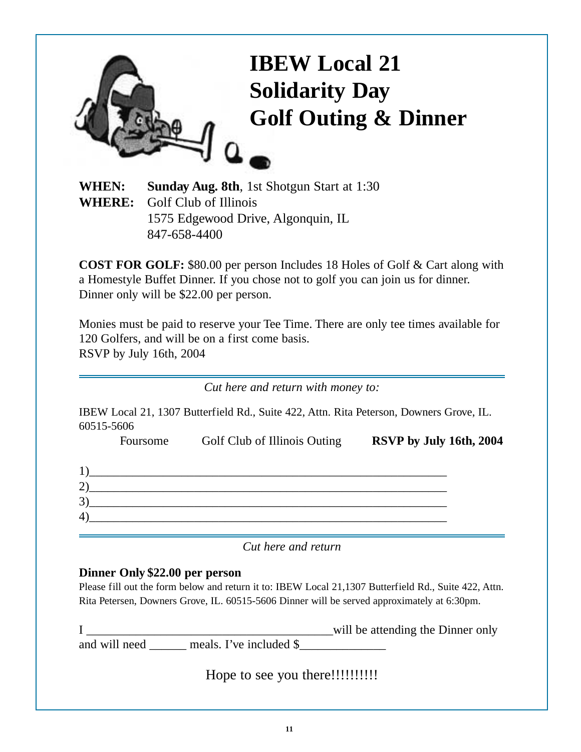

**WHEN: Sunday Aug. 8th**, 1st Shotgun Start at 1:30 **WHERE:** Golf Club of Illinois 1575 Edgewood Drive, Algonquin, IL 847-658-4400

**COST FOR GOLF:** \$80.00 per person Includes 18 Holes of Golf & Cart along with a Homestyle Buffet Dinner. If you chose not to golf you can join us for dinner. Dinner only will be \$22.00 per person.

Monies must be paid to reserve your Tee Time. There are only tee times available for 120 Golfers, and will be on a first come basis. RSVP by July 16th, 2004

*Cut here and return with money to:*

IBEW Local 21, 1307 Butterfield Rd., Suite 422, Attn. Rita Peterson, Downers Grove, IL. 60515-5606

|             | Foursome | Golf Club of Illinois Outing | RSVP by July 16th, 2004 |
|-------------|----------|------------------------------|-------------------------|
|             |          |                              |                         |
| つ           |          |                              |                         |
| $3^{\circ}$ |          |                              |                         |
| $\ket{4}$   |          |                              |                         |
|             |          |                              |                         |

*Cut here and return*

#### **Dinner Only \$22.00 per person**

Please fill out the form below and return it to: IBEW Local 21,1307 Butterfield Rd., Suite 422, Attn. Rita Petersen, Downers Grove, IL. 60515-5606 Dinner will be served approximately at 6:30pm.

I \_\_\_\_\_\_\_\_\_\_\_\_\_\_\_\_\_\_\_\_\_\_\_\_\_\_\_\_\_\_\_\_\_\_\_\_\_\_\_\_will be attending the Dinner only and will need \_\_\_\_\_\_ meals. I've included \$\_\_\_\_\_\_\_\_\_\_\_\_\_\_

Hope to see you there!!!!!!!!!!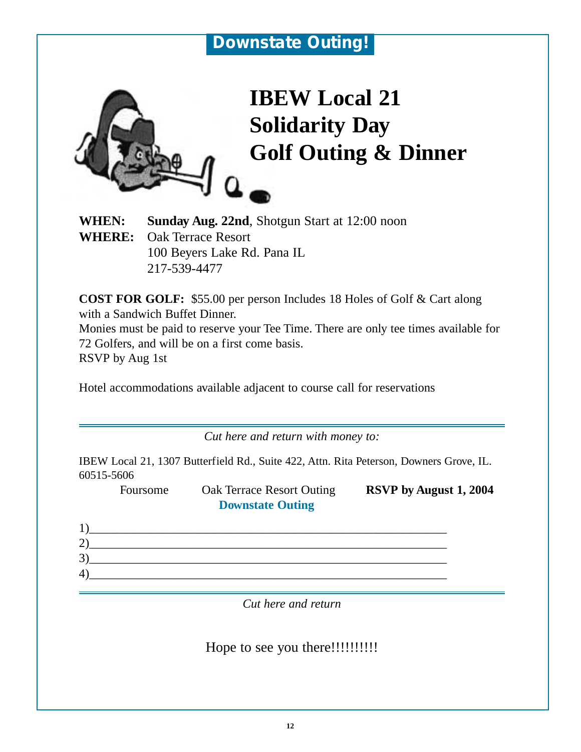

# **IBEW Local 21 Solidarity Day Golf Outing & Dinner**

**WHEN: Sunday Aug. 22nd**, Shotgun Start at 12:00 noon **WHERE:** Oak Terrace Resort 100 Beyers Lake Rd. Pana IL 217-539-4477

**COST FOR GOLF:** \$55.00 per person Includes 18 Holes of Golf & Cart along with a Sandwich Buffet Dinner. Monies must be paid to reserve your Tee Time. There are only tee times available for 72 Golfers, and will be on a first come basis.

RSVP by Aug 1st

Hotel accommodations available adjacent to course call for reservations

*Cut here and return with money to:*

IBEW Local 21, 1307 Butterfield Rd., Suite 422, Attn. Rita Peterson, Downers Grove, IL. 60515-5606

Foursome Oak Terrace Resort Outing **RSVP by August 1, 2004 Downstate Outing**

| $\mathfrak{I}$ |  |  |  |
|----------------|--|--|--|
| 4              |  |  |  |

*Cut here and return*

Hope to see you there!!!!!!!!!!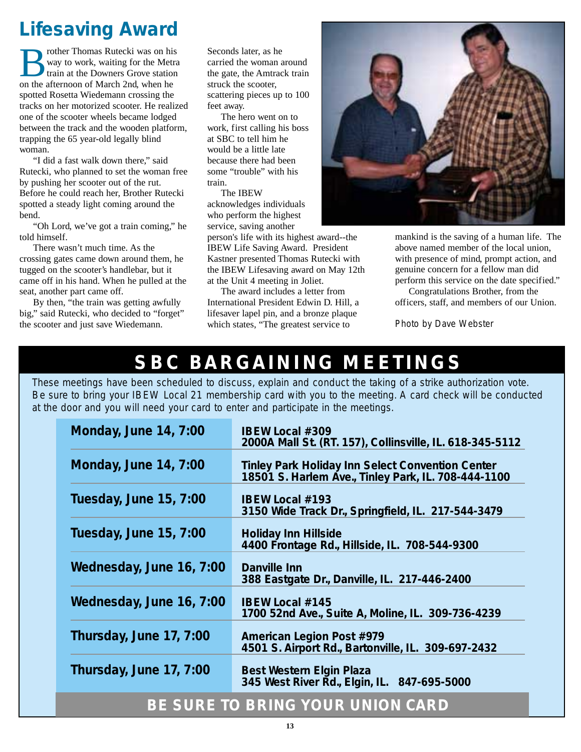# *Lifesaving Award*

rother Thomas Rutecki was on his way to work, waiting for the Metra train at the Downers Grove station on the afternoon of March 2nd, when he spotted Rosetta Wiedemann crossing the tracks on her motorized scooter. He realized one of the scooter wheels became lodged between the track and the wooden platform, trapping the 65 year-old legally blind woman.

"I did a fast walk down there," said Rutecki, who planned to set the woman free by pushing her scooter out of the rut. Before he could reach her, Brother Rutecki spotted a steady light coming around the bend.

"Oh Lord, we've got a train coming," he told himself.

There wasn't much time. As the crossing gates came down around them, he tugged on the scooter's handlebar, but it came off in his hand. When he pulled at the seat, another part came off.

By then, "the train was getting awfully big," said Rutecki, who decided to "forget" the scooter and just save Wiedemann.

Seconds later, as he carried the woman around the gate, the Amtrack train struck the scooter, scattering pieces up to 100 feet away.

The hero went on to work, first calling his boss at SBC to tell him he would be a little late because there had been some "trouble" with his train.

The IBEW acknowledges individuals who perform the highest service, saving another

person's life with its highest award--the IBEW Life Saving Award. President Kastner presented Thomas Rutecki with the IBEW Lifesaving award on May 12th at the Unit 4 meeting in Joliet.

The award includes a letter from International President Edwin D. Hill, a lifesaver lapel pin, and a bronze plaque which states, "The greatest service to



mankind is the saving of a human life. The above named member of the local union, with presence of mind, prompt action, and genuine concern for a fellow man did perform this service on the date specified."

Congratulations Brother, from the officers, staff, and members of our Union.

*Photo by Dave Webster*

# **SBC BARGAINING MEETINGS**

*These meetings have been scheduled to discuss, explain and conduct the taking of a strike authorization vote. Be sure to bring your IBEW Local 21 membership card with you to the meeting. A card check will be conducted at the door and you will need your card to enter and participate in the meetings.*

| Monday, June 14, 7:00                   | <b>IBEW Local #309</b><br>2000A Mall St. (RT. 157), Collinsville, IL. 618-345-5112                             |  |  |  |
|-----------------------------------------|----------------------------------------------------------------------------------------------------------------|--|--|--|
| Monday, June 14, 7:00                   | <b>Tinley Park Holiday Inn Select Convention Center</b><br>18501 S. Harlem Ave., Tinley Park, IL. 708-444-1100 |  |  |  |
| Tuesday, June 15, 7:00                  | <b>IBEW Local #193</b><br>3150 Wide Track Dr., Springfield, IL. 217-544-3479                                   |  |  |  |
| Tuesday, June 15, 7:00                  | <b>Holiday Inn Hillside</b><br>4400 Frontage Rd., Hillside, IL. 708-544-9300                                   |  |  |  |
| Wednesday, June 16, 7:00                | Danville Inn<br>388 Eastgate Dr., Danville, IL. 217-446-2400                                                   |  |  |  |
| Wednesday, June 16, 7:00                | <b>IBEW Local #145</b><br>1700 52nd Ave., Suite A, Moline, IL. 309-736-4239                                    |  |  |  |
| Thursday, June 17, 7:00                 | American Legion Post #979<br>4501 S. Airport Rd., Bartonville, IL. 309-697-2432                                |  |  |  |
| Thursday, June 17, 7:00                 | <b>Best Western Elgin Plaza</b><br>345 West River Rd., Elgin, IL. 847-695-5000                                 |  |  |  |
| <b>BE SURE TO BRING YOUR UNION CARD</b> |                                                                                                                |  |  |  |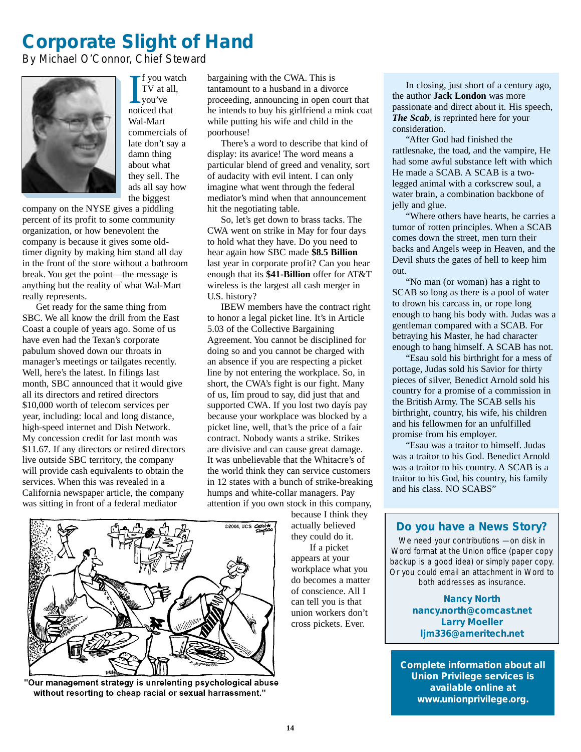# *Corporate Slight of Hand*

*By Michael O'Connor, Chief Steward*



I f you way<br>TV at all<br>you've<br>noticed that f you watch TV at all, you've Wal-Mart commercials of late don't say a damn thing about what they sell. The ads all say how the biggest

company on the NYSE gives a piddling percent of its profit to some community organization, or how benevolent the company is because it gives some oldtimer dignity by making him stand all day in the front of the store without a bathroom break. You get the point—the message is anything but the reality of what Wal-Mart really represents.

Get ready for the same thing from SBC. We all know the drill from the East Coast a couple of years ago. Some of us have even had the Texan's corporate pabulum shoved down our throats in manager's meetings or tailgates recently. Well, here's the latest. In filings last month, SBC announced that it would give all its directors and retired directors \$10,000 worth of telecom services per year, including: local and long distance, high-speed internet and Dish Network. My concession credit for last month was \$11.67. If any directors or retired directors live outside SBC territory, the company will provide cash equivalents to obtain the services. When this was revealed in a California newspaper article, the company was sitting in front of a federal mediator

bargaining with the CWA. This is tantamount to a husband in a divorce proceeding, announcing in open court that he intends to buy his girlfriend a mink coat while putting his wife and child in the poorhouse!

There's a word to describe that kind of display: its avarice! The word means a particular blend of greed and venality, sort of audacity with evil intent. I can only imagine what went through the federal mediator's mind when that announcement hit the negotiating table.

So, let's get down to brass tacks. The CWA went on strike in May for four days to hold what they have. Do you need to hear again how SBC made **\$8.5 Billion** last year in corporate profit? Can you hear enough that its **\$41-Billion** offer for AT&T wireless is the largest all cash merger in U.S. history?

IBEW members have the contract right to honor a legal picket line. It's in Article 5.03 of the Collective Bargaining Agreement. You cannot be disciplined for doing so and you cannot be charged with an absence if you are respecting a picket line by not entering the workplace. So, in short, the CWA's fight is our fight. Many of us, Iím proud to say, did just that and supported CWA. If you lost two dayís pay because your workplace was blocked by a picket line, well, that's the price of a fair contract. Nobody wants a strike. Strikes are divisive and can cause great damage. It was unbelievable that the Whitacre's of the world think they can service customers in 12 states with a bunch of strike-breaking humps and white-collar managers. Pay attention if you own stock in this company,



"Our management strategy is unrelenting psychological abuse without resorting to cheap racial or sexual harrassment."

because I think they actually believed they could do it. If a picket

appears at your workplace what you do becomes a matter of conscience. All I can tell you is that union workers don't cross pickets. Ever.

In closing, just short of a century ago, the author **Jack London** was more passionate and direct about it. His speech, *The Scab*, is reprinted here for your consideration.

"After God had finished the rattlesnake, the toad, and the vampire, He had some awful substance left with which He made a SCAB. A SCAB is a twolegged animal with a corkscrew soul, a water brain, a combination backbone of jelly and glue.

"Where others have hearts, he carries a tumor of rotten principles. When a SCAB comes down the street, men turn their backs and Angels weep in Heaven, and the Devil shuts the gates of hell to keep him out.

"No man (or woman) has a right to SCAB so long as there is a pool of water to drown his carcass in, or rope long enough to hang his body with. Judas was a gentleman compared with a SCAB. For betraying his Master, he had character enough to hang himself. A SCAB has not.

"Esau sold his birthright for a mess of pottage, Judas sold his Savior for thirty pieces of silver, Benedict Arnold sold his country for a promise of a commission in the British Army. The SCAB sells his birthright, country, his wife, his children and his fellowmen for an unfulfilled promise from his employer.

"Esau was a traitor to himself. Judas was a traitor to his God. Benedict Arnold was a traitor to his country. A SCAB is a traitor to his God, his country, his family and his class. NO SCABS"

#### *Do you have a News Story?*

We need your contributions - on disk in Word format at the Union office (paper copy backup is a good idea) or simply paper copy. Or you could email an attachment in Word to both addresses as insurance.

> *Nancy North nancy.north@comcast.net Larry Moeller ljm336@ameritech.net*

*Complete information about all Union Privilege services is available online at www.unionprivilege.org.*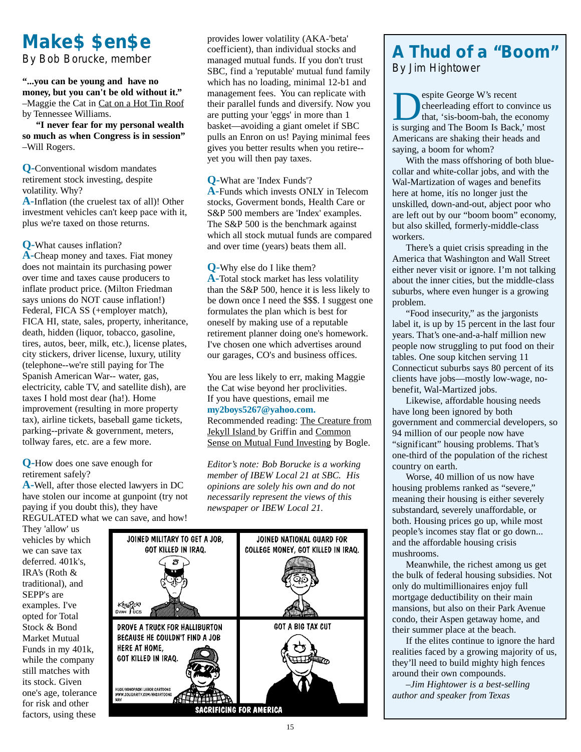# *Make\$ \$en\$e*

*By Bob Borucke, member*

**"...you can be young and have no money, but you can't be old without it."** –Maggie the Cat in Cat on a Hot Tin Roof by Tennessee Williams.

**"I never fear for my personal wealth so much as when Congress is in session"** –Will Rogers.

**Q-**Conventional wisdom mandates retirement stock investing, despite volatility. Why? **A-**Inflation (the cruelest tax of all)! Other

investment vehicles can't keep pace with it, plus we're taxed on those returns.

**Q-**What causes inflation?

**A-**Cheap money and taxes. Fiat money does not maintain its purchasing power over time and taxes cause producers to inflate product price. (Milton Friedman says unions do NOT cause inflation!) Federal, FICA SS (+employer match), FICA HI, state, sales, property, inheritance, death, hidden (liquor, tobacco, gasoline, tires, autos, beer, milk, etc.), license plates, city stickers, driver license, luxury, utility (telephone--we're still paying for The Spanish American War-- water, gas, electricity, cable TV, and satellite dish), are taxes I hold most dear (ha!). Home improvement (resulting in more property tax), airline tickets, baseball game tickets, parking--private & government, meters, tollway fares, etc. are a few more.

**Q-**How does one save enough for retirement safely?

**A-**Well, after those elected lawyers in DC have stolen our income at gunpoint (try not paying if you doubt this), they have REGULATED what we can save, and how!

They 'allow' us vehicles by which we can save tax deferred. 401k's, IRA's (Roth & traditional), and SEPP's are examples. I've opted for Total Stock & Bond Market Mutual Funds in my 401k, while the company still matches with its stock. Given one's age, tolerance for risk and other factors, using these

provides lower volatility (AKA-'beta' coefficient), than individual stocks and managed mutual funds. If you don't trust SBC, find a 'reputable' mutual fund family which has no loading, minimal 12-b1 and management fees. You can replicate with their parallel funds and diversify. Now you are putting your 'eggs' in more than 1 basket—avoiding a giant omelet if SBC pulls an Enron on us! Paying minimal fees gives you better results when you retire- yet you will then pay taxes.

**Q-**What are 'Index Funds'?

**A-**Funds which invests ONLY in Telecom stocks, Goverment bonds, Health Care or S&P 500 members are 'Index' examples. The S&P 500 is the benchmark against which all stock mutual funds are compared and over time (years) beats them all.

**Q-**Why else do I like them? **A-**Total stock market has less volatility than the S&P 500, hence it is less likely to be down once I need the \$\$\$. I suggest one formulates the plan which is best for oneself by making use of a reputable retirement planner doing one's homework. I've chosen one which advertises around our garages, CO's and business offices.

You are less likely to err, making Maggie the Cat wise beyond her proclivities. If you have questions, email me **my2boys5267@yahoo.com.** Recommended reading: The Creature from Jekyll Island by Griffin and Common Sense on Mutual Fund Investing by Bogle.

*Editor's note: Bob Borucke is a working member of IBEW Local 21 at SBC. His opinions are solely his own and do not necessarily represent the views of this newspaper or IBEW Local 21.*



### *A Thud of a "Boom" By Jim Hightower*

**Despite George W's recent<br>that, 'sis-boom-bah, the economy<br>is surging and The Boom Is Back' most** cheerleading effort to convince us is surging and The Boom Is Back,' most Americans are shaking their heads and saying, a boom for whom?

With the mass offshoring of both bluecollar and white-collar jobs, and with the Wal-Martization of wages and benefits here at home, itís no longer just the unskilled, down-and-out, abject poor who are left out by our "boom boom" economy, but also skilled, formerly-middle-class workers.

There's a quiet crisis spreading in the America that Washington and Wall Street either never visit or ignore. I'm not talking about the inner cities, but the middle-class suburbs, where even hunger is a growing problem.

"Food insecurity," as the jargonists label it, is up by 15 percent in the last four years. That's one-and-a-half million new people now struggling to put food on their tables. One soup kitchen serving 11 Connecticut suburbs says 80 percent of its clients have jobs—mostly low-wage, nobenefit, Wal-Martized jobs.

Likewise, affordable housing needs have long been ignored by both government and commercial developers, so 94 million of our people now have "significant" housing problems. That's one-third of the population of the richest country on earth.

Worse, 40 million of us now have housing problems ranked as "severe," meaning their housing is either severely substandard, severely unaffordable, or both. Housing prices go up, while most people's incomes stay flat or go down... and the affordable housing crisis mushrooms.

Meanwhile, the richest among us get the bulk of federal housing subsidies. Not only do multimillionaires enjoy full mortgage deductibility on their main mansions, but also on their Park Avenue condo, their Aspen getaway home, and their summer place at the beach.

If the elites continue to ignore the hard realities faced by a growing majority of us, they'll need to build mighty high fences around their own compounds.

*–Jim Hightower is a best-selling author and speaker from Texas*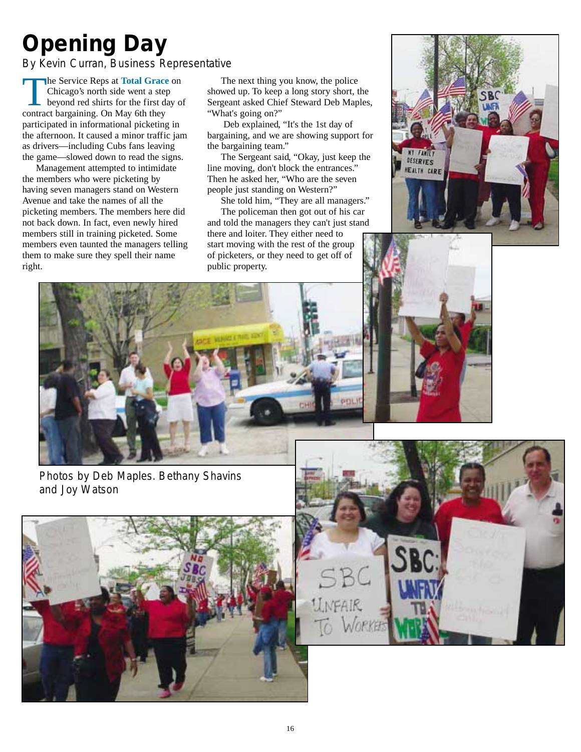# *Opening Day*

*By Kevin Curran, Business Representative*

**The Service Reps at Total Grace** on Chicago's north side went a step beyond red shirts for the first day of contract bargaining. On May 6th they participated in informational picketing in the afternoon. It caused a minor traffic jam as drivers—including Cubs fans leaving the game—slowed down to read the signs.

Management attempted to intimidate the members who were picketing by having seven managers stand on Western Avenue and take the names of all the picketing members. The members here did not back down. In fact, even newly hired members still in training picketed. Some members even taunted the managers telling them to make sure they spell their name right.

The next thing you know, the police showed up. To keep a long story short, the Sergeant asked Chief Steward Deb Maples, "What's going on?"

Deb explained, "It's the 1st day of bargaining, and we are showing support for the bargaining team."

The Sergeant said, "Okay, just keep the line moving, don't block the entrances." Then he asked her, "Who are the seven people just standing on Western?"

She told him, "They are all managers." The policeman then got out of his car and told the managers they can't just stand there and loiter. They either need to start moving with the rest of the group of picketers, or they need to get off of public property.





*Photos by Deb Maples. Bethany Shavins and Joy Watson*



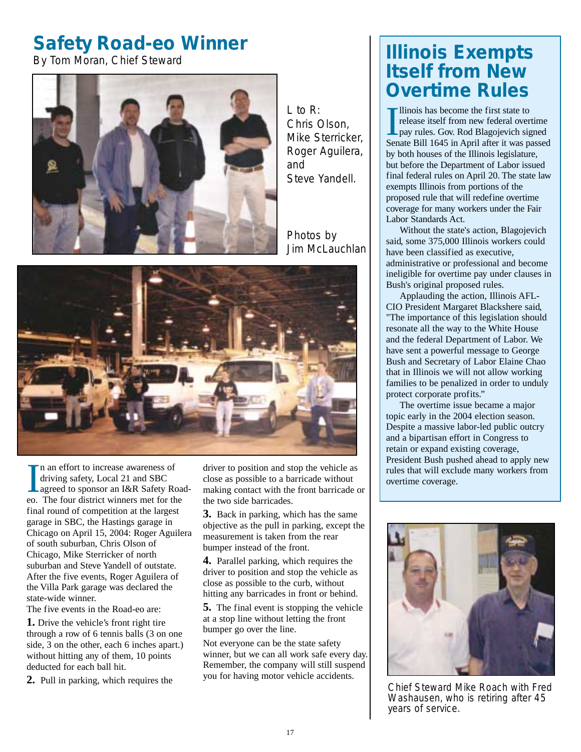# *Safety Road-eo Winner*

*By Tom Moran, Chief Steward*



*L to R: Chris Olson, Mike Sterricker, Roger Aguilera, and Steve Yandell.*

*Photos by Jim McLauchlan*



In an effort to increase awareness of<br>driving safety, Local 21 and SBC<br>agreed to sponsor an I&R Safety Roa<br>eo. The four district winners met for the n an effort to increase awareness of driving safety, Local 21 and SBC Lagreed to sponsor an I&R Safety Roadfinal round of competition at the largest garage in SBC, the Hastings garage in Chicago on April 15, 2004: Roger Aguilera of south suburban, Chris Olson of Chicago, Mike Sterricker of north suburban and Steve Yandell of outstate. After the five events, Roger Aguilera of the Villa Park garage was declared the state-wide winner.

The five events in the Road-eo are:

**1.** Drive the vehicle's front right tire through a row of 6 tennis balls (3 on one side, 3 on the other, each 6 inches apart.) without hitting any of them, 10 points deducted for each ball hit.

**2.** Pull in parking, which requires the

driver to position and stop the vehicle as close as possible to a barricade without making contact with the front barricade or the two side barricades.

**3.** Back in parking, which has the same objective as the pull in parking, except the measurement is taken from the rear bumper instead of the front.

**4.** Parallel parking, which requires the driver to position and stop the vehicle as close as possible to the curb, without hitting any barricades in front or behind.

**5.** The final event is stopping the vehicle at a stop line without letting the front bumper go over the line.

Not everyone can be the state safety winner, but we can all work safe every day. Remember, the company will still suspend you for having motor vehicle accidents.

# *Illinois Exempts Itself from New Overtime Rules*

Ilinois has become the first state to<br>release itself from new federal overtime<br>pay rules. Gov. Rod Blagojevich signed<br>Senate Bill 1645 in April after it was passed llinois has become the first state to release itself from new federal overtime pay rules. Gov. Rod Blagojevich signed by both houses of the Illinois legislature, but before the Department of Labor issued final federal rules on April 20. The state law exempts Illinois from portions of the proposed rule that will redefine overtime coverage for many workers under the Fair Labor Standards Act.

Without the state's action, Blagojevich said, some 375,000 Illinois workers could have been classified as executive, administrative or professional and become ineligible for overtime pay under clauses in Bush's original proposed rules.

Applauding the action, Illinois AFL-CIO President Margaret Blackshere said, "The importance of this legislation should resonate all the way to the White House and the federal Department of Labor. We have sent a powerful message to George Bush and Secretary of Labor Elaine Chao that in Illinois we will not allow working families to be penalized in order to unduly protect corporate profits."

The overtime issue became a major topic early in the 2004 election season. Despite a massive labor-led public outcry and a bipartisan effort in Congress to retain or expand existing coverage, President Bush pushed ahead to apply new rules that will exclude many workers from overtime coverage.



Chief Steward Mike Roach with Fred Washausen, who is retiring after 45 years of service.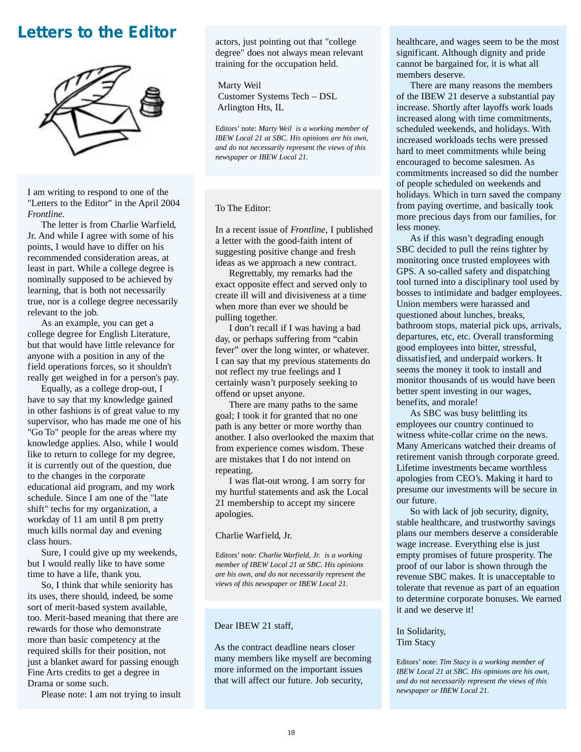### *Letters to the Editor*



I am writing to respond to one of the "Letters to the Editor" in the April 2004 *Frontline.*

The letter is from Charlie Warfield, Jr. And while I agree with some of his points, I would have to differ on his recommended consideration areas, at least in part. While a college degree is nominally supposed to be achieved by learning, that is both not necessarily true, nor is a college degree necessarily relevant to the job.

As an example, you can get a college degree for English Literature, but that would have little relevance for anyone with a position in any of the field operations forces, so it shouldn't really get weighed in for a person's pay.

Equally, as a college drop-out, I have to say that my knowledge gained in other fashions is of great value to my supervisor, who has made me one of his "Go To" people for the areas where my knowledge applies. Also, while I would like to return to college for my degree, it is currently out of the question, due to the changes in the corporate educational aid program, and my work schedule. Since I am one of the "late shift" techs for my organization, a workday of 11 am until 8 pm pretty much kills normal day and evening class hours.

Sure, I could give up my weekends, but I would really like to have some time to have a life, thank you.

So, I think that while seniority has its uses, there should, indeed, be some sort of merit-based system available, too. Merit-based meaning that there are rewards for those who demonstrate more than basic competency at the required skills for their position, not just a blanket award for passing enough Fine Arts credits to get a degree in Drama or some such.

Please note: I am not trying to insult

actors, just pointing out that "college degree" does not always mean relevant training for the occupation held.

Marty Weil Customer Systems Tech – DSL Arlington Hts, IL

Editors' note: *Marty Weil is a working member of IBEW Local 21 at SBC. His opinions are his own, and do not necessarily represent the views of this newspaper or IBEW Local 21.*

To The Editor:

In a recent issue of *Frontline*, I published a letter with the good-faith intent of suggesting positive change and fresh ideas as we approach a new contract.

Regrettably, my remarks had the exact opposite effect and served only to create ill will and divisiveness at a time when more than ever we should be pulling together.

I don't recall if I was having a bad day, or perhaps suffering from "cabin fever" over the long winter, or whatever. I can say that my previous statements do not reflect my true feelings and I certainly wasn't purposely seeking to offend or upset anyone.

There are many paths to the same goal; I took it for granted that no one path is any better or more worthy than another. I also overlooked the maxim that from experience comes wisdom. These are mistakes that I do not intend on repeating.

I was flat-out wrong. I am sorry for my hurtful statements and ask the Local 21 membership to accept my sincere apologies.

#### Charlie Warfield, Jr.

Editors' note: *Charlie Warfield, Jr. is a working member of IBEW Local 21 at SBC. His opinions are his own, and do not necessarily represent the views of this newspaper or IBEW Local 21.*

#### Dear IBEW 21 staff,

As the contract deadline nears closer many members like myself are becoming more informed on the important issues that will affect our future. Job security,

healthcare, and wages seem to be the most significant. Although dignity and pride cannot be bargained for, it is what all members deserve.

There are many reasons the members of the IBEW 21 deserve a substantial pay increase. Shortly after layoffs work loads increased along with time commitments, scheduled weekends, and holidays. With increased workloads techs were pressed hard to meet commitments while being encouraged to become salesmen. As commitments increased so did the number of people scheduled on weekends and holidays. Which in turn saved the company from paying overtime, and basically took more precious days from our families, for less money.

As if this wasn't degrading enough SBC decided to pull the reins tighter by monitoring once trusted employees with GPS. A so-called safety and dispatching tool turned into a disciplinary tool used by bosses to intimidate and badger employees. Union members were harassed and questioned about lunches, breaks, bathroom stops, material pick ups, arrivals, departures, etc, etc. Overall transforming good employees into bitter, stressful, dissatisfied, and underpaid workers. It seems the money it took to install and monitor thousands of us would have been better spent investing in our wages, benefits, and morale!

As SBC was busy belittling its employees our country continued to witness white-collar crime on the news. Many Americans watched their dreams of retirement vanish through corporate greed. Lifetime investments became worthless apologies from CEO's. Making it hard to presume our investments will be secure in our future.

So with lack of job security, dignity, stable healthcare, and trustworthy savings plans our members deserve a considerable wage increase. Everything else is just empty promises of future prosperity. The proof of our labor is shown through the revenue SBC makes. It is unacceptable to tolerate that revenue as part of an equation to determine corporate bonuses. We earned it and we deserve it!

In Solidarity, Tim Stacy

Editors' note: *Tim Stacy is a working member of IBEW Local 21 at SBC. His opinions are his own, and do not necessarily represent the views of this newspaper or IBEW Local 21.*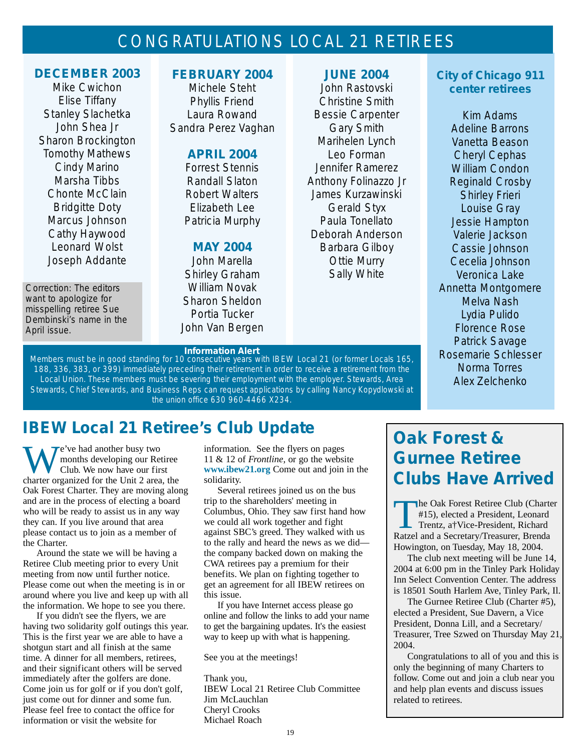# CONGRATULATIONS LOCAL 21 RETIREES

#### *DECEMBER 2003*

Mike Cwichon Elise Tiffany Stanley Slachetka John Shea Jr Sharon Brockington Tomothy Mathews Cindy Marino Marsha Tibbs Chonte McClain Bridgitte Doty Marcus Johnson Cathy Haywood Leonard Wolst Joseph Addante

*Correction: The editors want to apologize for misspelling retiree Sue Dembinski's name in the April issue.*

#### *FEBRUARY 2004*

Michele Steht Phyllis Friend Laura Rowand Sandra Perez Vaghan

#### *APRIL 2004*

Forrest Stennis Randall Slaton Robert Walters Elizabeth Lee Patricia Murphy

#### *MAY 2004*

John Marella Shirley Graham William Novak Sharon Sheldon Portia Tucker John Van Bergen

#### *JUNE 2004*

John Rastovski Christine Smith Bessie Carpenter Gary Smith Marihelen Lynch Leo Forman Jennifer Ramerez Anthony Folinazzo Jr James Kurzawinski Gerald Styx Paula Tonellato Deborah Anderson Barbara Gilboy Ottie Murry Sally White

#### *City of Chicago 911 center retirees*

Kim Adams Adeline Barrons Vanetta Beason Cheryl Cephas William Condon Reginald Crosby Shirley Frieri Louise Gray Jessie Hampton Valerie Jackson Cassie Johnson Cecelia Johnson Veronica Lake Annetta Montgomere Melva Nash Lydia Pulido Florence Rose Patrick Savage Rosemarie Schlesser Norma Torres Alex Zelchenko

# *Information Alert*

Members must be in good standing for 10 consecutive years with IBEW Local 21 (or former Locals 165, 188, 336, 383, or 399) immediately preceding their retirement in order to receive a retirement from the Local Union. These members must be severing their employment with the employer. Stewards, Area Stewards, Chief Stewards, and Business Reps can request applications by calling Nancy Kopydlowski at the union office 630 960-4466 X234.

# *IBEW Local 21 Retiree's Club Update*

Te've had another busy two months developing our Retiree Club. We now have our first charter organized for the Unit 2 area, the Oak Forest Charter. They are moving along and are in the process of electing a board who will be ready to assist us in any way they can. If you live around that area please contact us to join as a member of the Charter.

Around the state we will be having a Retiree Club meeting prior to every Unit meeting from now until further notice. Please come out when the meeting is in or around where you live and keep up with all the information. We hope to see you there.

If you didn't see the flyers, we are having two solidarity golf outings this year. This is the first year we are able to have a shotgun start and all finish at the same time. A dinner for all members, retirees, and their significant others will be served immediately after the golfers are done. Come join us for golf or if you don't golf, just come out for dinner and some fun. Please feel free to contact the office for information or visit the website for

information. See the flyers on pages 11 & 12 of *Frontline*, or go the website **www.ibew21.org** Come out and join in the solidarity.

Several retirees joined us on the bus trip to the shareholders' meeting in Columbus, Ohio. They saw first hand how we could all work together and fight against SBC's greed. They walked with us to the rally and heard the news as we did the company backed down on making the CWA retirees pay a premium for their benefits. We plan on fighting together to get an agreement for all IBEW retirees on this issue.

If you have Internet access please go online and follow the links to add your name to get the bargaining updates. It's the easiest way to keep up with what is happening.

See you at the meetings!

Thank you, IBEW Local 21 Retiree Club Committee Jim McLauchlan Cheryl Crooks Michael Roach

# *Oak Forest & Gurnee Retiree Clubs Have Arrived*

The Oak Forest Retiree Club (Charter<br>
#15), elected a President, Leonard<br>
Trentz, a†Vice-President, Richard<br>
Ratzel and a Secretary/Treasurer Brenda #15), elected a President, Leonard Ratzel and a Secretary/Treasurer, Brenda Howington, on Tuesday, May 18, 2004.

The club next meeting will be June 14, 2004 at 6:00 pm in the Tinley Park Holiday Inn Select Convention Center. The address is 18501 South Harlem Ave, Tinley Park, Il.

The Gurnee Retiree Club (Charter #5), elected a President, Sue Davern, a Vice President, Donna Lill, and a Secretary/ Treasurer, Tree Szwed on Thursday May 21, 2004.

Congratulations to all of you and this is only the beginning of many Charters to follow. Come out and join a club near you and help plan events and discuss issues related to retirees.